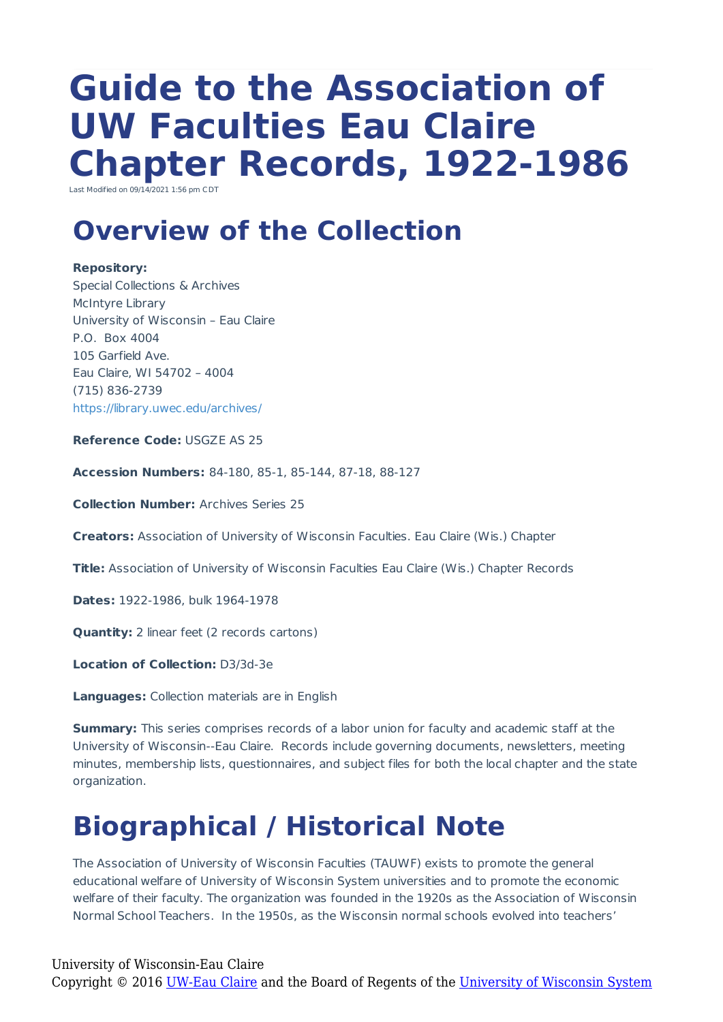# **Guide to the Association of UW Faculties Eau Claire Chapter Records, 1922-1986**

Last Modified on 09/14/2021 1:56 pm CDT

### **Overview of the Collection**

#### **Repository:**

Special Collections & Archives McIntyre Library University of Wisconsin – Eau Claire P.O. Box 4004 105 Garfield Ave. Eau Claire, WI 54702 – 4004 (715) 836-2739 https://library.uwec.edu/archives/

**Reference Code:** USGZE AS 25

**Accession Numbers:** 84-180, 85-1, 85-144, 87-18, 88-127

**Collection Number:** Archives Series 25

**Creators:** Association of University of Wisconsin Faculties. Eau Claire (Wis.) Chapter

**Title:** Association of University of Wisconsin Faculties Eau Claire (Wis.) Chapter Records

**Dates:** 1922-1986, bulk 1964-1978

**Quantity:** 2 linear feet (2 records cartons)

**Location of Collection:** D3/3d-3e

**Languages:** Collection materials are in English

**Summary:** This series comprises records of a labor union for faculty and academic staff at the University of Wisconsin--Eau Claire. Records include governing documents, newsletters, meeting minutes, membership lists, questionnaires, and subject files for both the local chapter and the state organization.

## **Biographical / Historical Note**

The Association of University of Wisconsin Faculties (TAUWF) exists to promote the general educational welfare of University of Wisconsin System universities and to promote the economic welfare of their faculty. The organization was founded in the 1920s as the Association of Wisconsin Normal School Teachers. In the 1950s, as the Wisconsin normal schools evolved into teachers'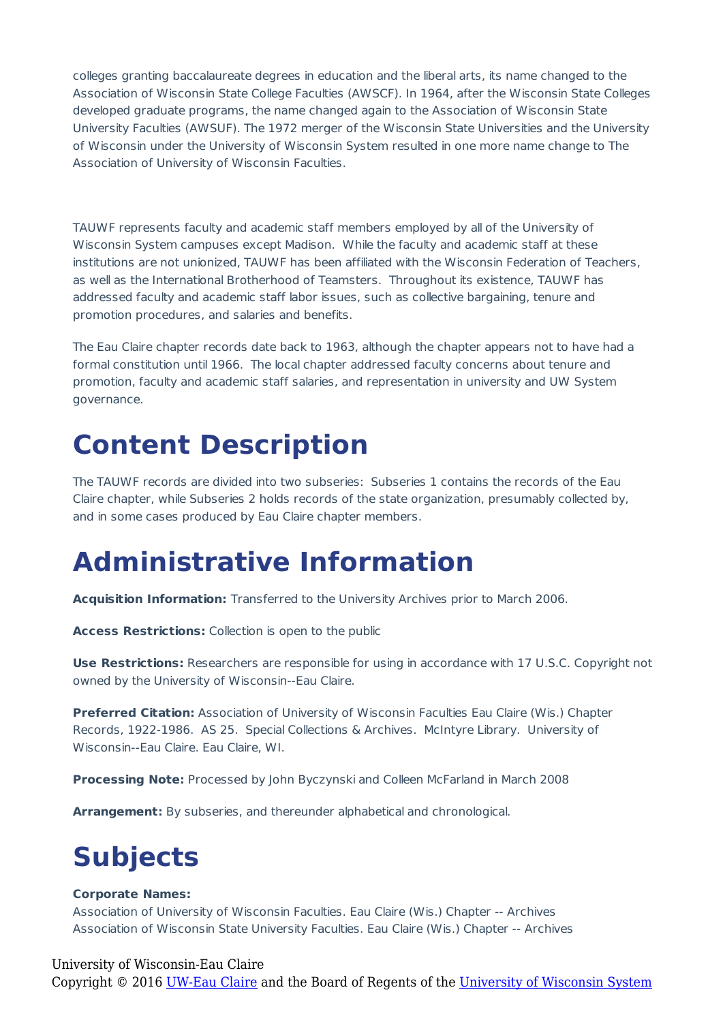colleges granting baccalaureate degrees in education and the liberal arts, its name changed to the Association of Wisconsin State College Faculties (AWSCF). In 1964, after the Wisconsin State Colleges developed graduate programs, the name changed again to the Association of Wisconsin State University Faculties (AWSUF). The 1972 merger of the Wisconsin State Universities and the University of Wisconsin under the University of Wisconsin System resulted in one more name change to The Association of University of Wisconsin Faculties.

TAUWF represents faculty and academic staff members employed by all of the University of Wisconsin System campuses except Madison. While the faculty and academic staff at these institutions are not unionized, TAUWF has been affiliated with the Wisconsin Federation of Teachers, as well as the International Brotherhood of Teamsters. Throughout its existence, TAUWF has addressed faculty and academic staff labor issues, such as collective bargaining, tenure and promotion procedures, and salaries and benefits.

The Eau Claire chapter records date back to 1963, although the chapter appears not to have had a formal constitution until 1966. The local chapter addressed faculty concerns about tenure and promotion, faculty and academic staff salaries, and representation in university and UW System governance.

### **Content Description**

The TAUWF records are divided into two subseries: Subseries 1 contains the records of the Eau Claire chapter, while Subseries 2 holds records of the state organization, presumably collected by, and in some cases produced by Eau Claire chapter members.

### **Administrative Information**

**Acquisition Information:** Transferred to the University Archives prior to March 2006.

**Access Restrictions:** Collection is open to the public

**Use Restrictions:** Researchers are responsible for using in accordance with 17 U.S.C. Copyright not owned by the University of Wisconsin--Eau Claire.

**Preferred Citation:** Association of University of Wisconsin Faculties Eau Claire (Wis.) Chapter Records, 1922-1986. AS 25. Special Collections & Archives. McIntyre Library. University of Wisconsin--Eau Claire. Eau Claire, WI.

**Processing Note:** Processed by John Byczynski and Colleen McFarland in March 2008

**Arrangement:** By subseries, and thereunder alphabetical and chronological.

## **Subjects**

#### **Corporate Names:**

Association of University of Wisconsin Faculties. Eau Claire (Wis.) Chapter -- Archives Association of Wisconsin State University Faculties. Eau Claire (Wis.) Chapter -- Archives

#### University of Wisconsin-Eau Claire

Copyright © 2016 [UW-Eau Claire](http://www.uwec.edu) and the Board of Regents of the [University of Wisconsin System](http://www.uwsa.edu/)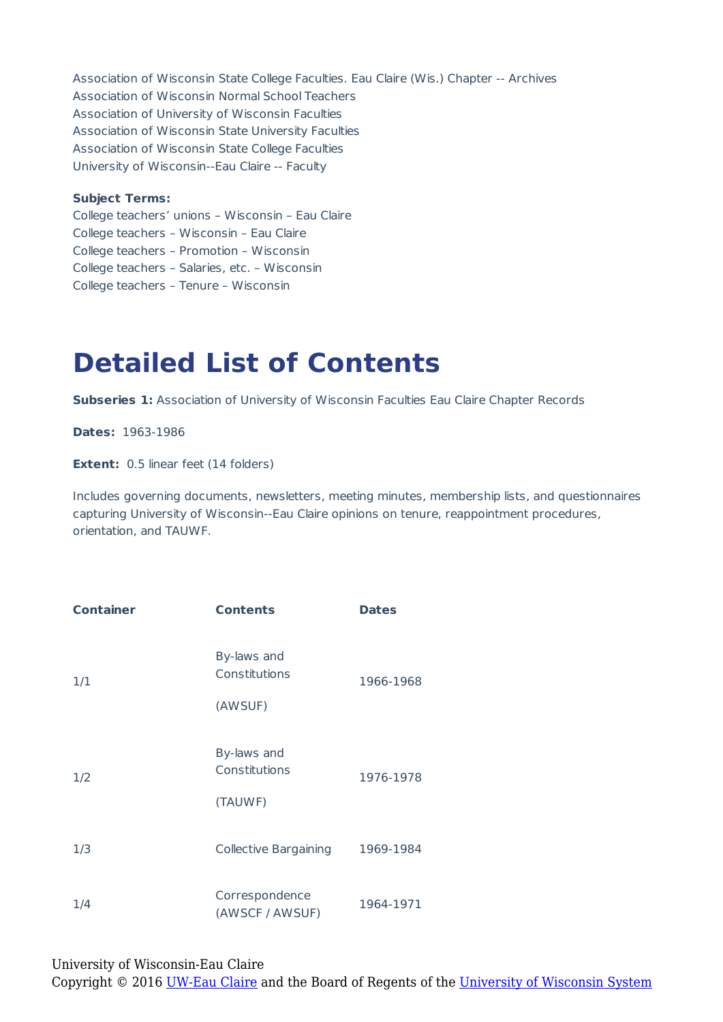Association of Wisconsin State College Faculties. Eau Claire (Wis.) Chapter -- Archives Association of Wisconsin Normal School Teachers Association of University of Wisconsin Faculties Association of Wisconsin State University Faculties Association of Wisconsin State College Faculties University of Wisconsin--Eau Claire -- Faculty

#### **Subject Terms:**

College teachers' unions – Wisconsin – Eau Claire College teachers – Wisconsin – Eau Claire College teachers – Promotion – Wisconsin College teachers – Salaries, etc. – Wisconsin College teachers – Tenure – Wisconsin

### **Detailed List of Contents**

**Subseries 1:** Association of University of Wisconsin Faculties Eau Claire Chapter Records

**Dates:** 1963-1986

**Extent:** 0.5 linear feet (14 folders)

Includes governing documents, newsletters, meeting minutes, membership lists, and questionnaires capturing University of Wisconsin--Eau Claire opinions on tenure, reappointment procedures, orientation, and TAUWF.

| <b>Container</b> | <b>Contents</b>                         | <b>Dates</b> |
|------------------|-----------------------------------------|--------------|
| 1/1              | By-laws and<br>Constitutions<br>(AWSUF) | 1966-1968    |
| 1/2              | By-laws and<br>Constitutions<br>(TAUWF) | 1976-1978    |
| 1/3              | <b>Collective Bargaining</b>            | 1969-1984    |
| 1/4              | Correspondence<br>(AWSCF / AWSUF)       | 1964-1971    |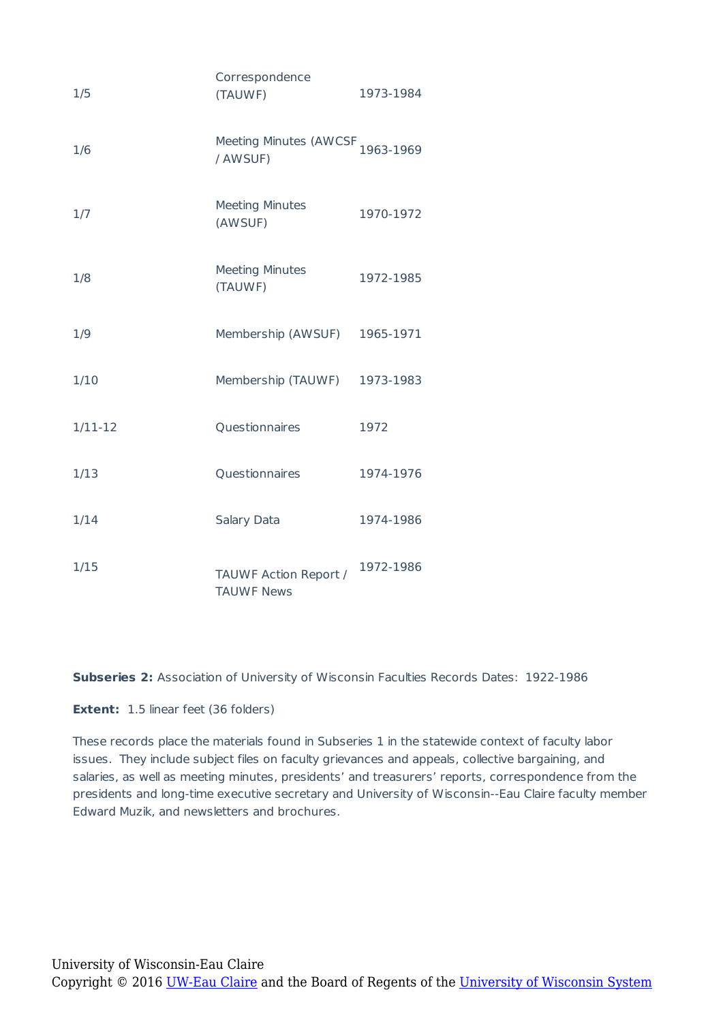| 1/5       | Correspondence<br>(TAUWF)                               | 1973-1984 |
|-----------|---------------------------------------------------------|-----------|
| 1/6       | Meeting Minutes (AWCSF <sub>1963-1969</sub><br>/ AWSUF) |           |
| 1/7       | <b>Meeting Minutes</b><br>(AWSUF)                       | 1970-1972 |
| 1/8       | <b>Meeting Minutes</b><br>(TAUWF)                       | 1972-1985 |
| 1/9       | Membership (AWSUF)                                      | 1965-1971 |
| 1/10      | Membership (TAUWF)                                      | 1973-1983 |
| $1/11-12$ | Questionnaires                                          | 1972      |
| 1/13      | Questionnaires                                          | 1974-1976 |
| 1/14      | Salary Data                                             | 1974-1986 |
| 1/15      | TAUWF Action Report /<br><b>TAUWF News</b>              | 1972-1986 |

**Subseries 2:** Association of University of Wisconsin Faculties Records Dates: 1922-1986

**Extent:** 1.5 linear feet (36 folders)

These records place the materials found in Subseries 1 in the statewide context of faculty labor issues. They include subject files on faculty grievances and appeals, collective bargaining, and salaries, as well as meeting minutes, presidents' and treasurers' reports, correspondence from the presidents and long-time executive secretary and University of Wisconsin--Eau Claire faculty member Edward Muzik, and newsletters and brochures.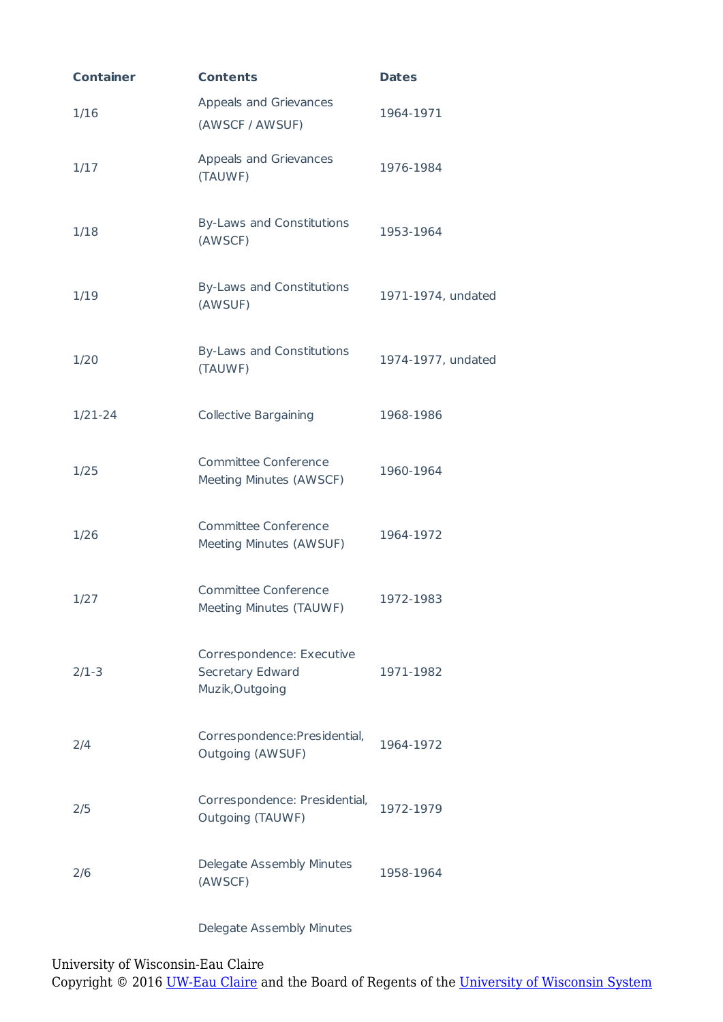| <b>Container</b> | <b>Contents</b>                                                  | <b>Dates</b>       |
|------------------|------------------------------------------------------------------|--------------------|
| 1/16             | Appeals and Grievances<br>(AWSCF / AWSUF)                        | 1964-1971          |
| 1/17             | Appeals and Grievances<br>(TAUWF)                                | 1976-1984          |
| 1/18             | By-Laws and Constitutions<br>(AWSCF)                             | 1953-1964          |
| 1/19             | By-Laws and Constitutions<br>(AWSUF)                             | 1971-1974, undated |
| 1/20             | By-Laws and Constitutions<br>(TAUWF)                             | 1974-1977, undated |
| $1/21 - 24$      | <b>Collective Bargaining</b>                                     | 1968-1986          |
| 1/25             | <b>Committee Conference</b><br>Meeting Minutes (AWSCF)           | 1960-1964          |
| 1/26             | <b>Committee Conference</b><br>Meeting Minutes (AWSUF)           | 1964-1972          |
| 1/27             | <b>Committee Conference</b><br>Meeting Minutes (TAUWF)           | 1972-1983          |
| $2/1-3$          | Correspondence: Executive<br>Secretary Edward<br>Muzik, Outgoing | 1971-1982          |
| 2/4              | Correspondence: Presidential,<br>Outgoing (AWSUF)                | 1964-1972          |
| 2/5              | Correspondence: Presidential,<br>Outgoing (TAUWF)                | 1972-1979          |
| 2/6              | Delegate Assembly Minutes<br>(AWSCF)                             | 1958-1964          |

#### Delegate Assembly Minutes